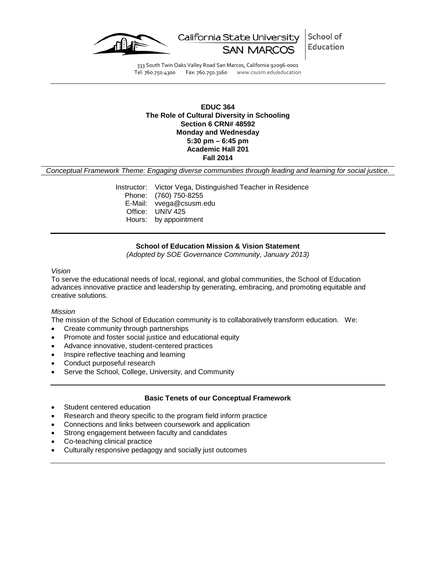

School of California State University Education

333 South Twin Oaks Valley Road San Marcos, California 92096-0001 Tel: 760.750.4300 Fax: 760.750.3160 www.csusm.edu/education

## **EDUC 364 The Role of Cultural Diversity in Schooling Section 6 CRN# 48592 Monday and Wednesday 5:30 pm – 6:45 pm Academic Hall 201 Fall 2014**

*Conceptual Framework Theme: Engaging diverse communities through leading and learning for social justice.*

Instructor: Victor Vega, Distinguished Teacher in Residence Phone: (760) 750-8255 E-Mail: vvega@csusm.edu Office: UNIV 425 Hours: by appointment

### **School of Education Mission & Vision Statement**

*(Adopted by SOE Governance Community, January 2013)*

#### *Vision*

To serve the educational needs of local, regional, and global communities, the School of Education advances innovative practice and leadership by generating, embracing, and promoting equitable and creative solutions.

### *Mission*

The mission of the School of Education community is to collaboratively transform education. We:

- Create community through partnerships
- Promote and foster social justice and educational equity
- Advance innovative, student-centered practices
- Inspire reflective teaching and learning
- Conduct purposeful research
- Serve the School, College, University, and Community

### **Basic Tenets of our Conceptual Framework**

- Student centered education
- Research and theory specific to the program field inform practice
- Connections and links between coursework and application
- Strong engagement between faculty and candidates
- Co-teaching clinical practice
- Culturally responsive pedagogy and socially just outcomes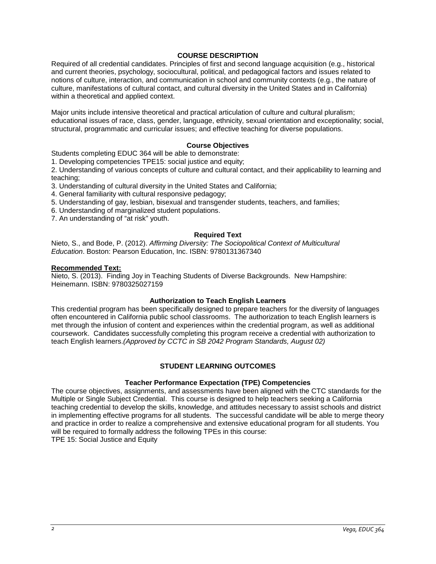### **COURSE DESCRIPTION**

Required of all credential candidates. Principles of first and second language acquisition (e.g., historical and current theories, psychology, sociocultural, political, and pedagogical factors and issues related to notions of culture, interaction, and communication in school and community contexts (e.g., the nature of culture, manifestations of cultural contact, and cultural diversity in the United States and in California) within a theoretical and applied context.

Major units include intensive theoretical and practical articulation of culture and cultural pluralism; educational issues of race, class, gender, language, ethnicity, sexual orientation and exceptionality; social, structural, programmatic and curricular issues; and effective teaching for diverse populations.

## **Course Objectives**

Students completing EDUC 364 will be able to demonstrate:

1. Developing competencies TPE15: social justice and equity;

2. Understanding of various concepts of culture and cultural contact, and their applicability to learning and teaching;

- 3. Understanding of cultural diversity in the United States and California;
- 4. General familiarity with cultural responsive pedagogy;
- 5. Understanding of gay, lesbian, bisexual and transgender students, teachers, and families;
- 6. Understanding of marginalized student populations.
- 7. An understanding of "at risk" youth.

### **Required Text**

Nieto, S., and Bode, P. (2012). *Affirming Diversity: The Sociopolitical Context of Multicultural Education*. Boston: Pearson Education, Inc. ISBN: 9780131367340

#### **Recommended Text:**

Nieto, S. (2013). Finding Joy in Teaching Students of Diverse Backgrounds. New Hampshire: Heinemann. ISBN: 9780325027159

### **Authorization to Teach English Learners**

This credential program has been specifically designed to prepare teachers for the diversity of languages often encountered in California public school classrooms. The authorization to teach English learners is met through the infusion of content and experiences within the credential program, as well as additional coursework. Candidates successfully completing this program receive a credential with authorization to teach English learners.*(Approved by CCTC in SB 2042 Program Standards, August 02)*

### **STUDENT LEARNING OUTCOMES**

### **Teacher Performance Expectation (TPE) Competencies**

The course objectives, assignments, and assessments have been aligned with the CTC standards for the Multiple or Single Subject Credential. This course is designed to help teachers seeking a California teaching credential to develop the skills, knowledge, and attitudes necessary to assist schools and district in implementing effective programs for all students. The successful candidate will be able to merge theory and practice in order to realize a comprehensive and extensive educational program for all students. You will be required to formally address the following TPEs in this course: TPE 15: Social Justice and Equity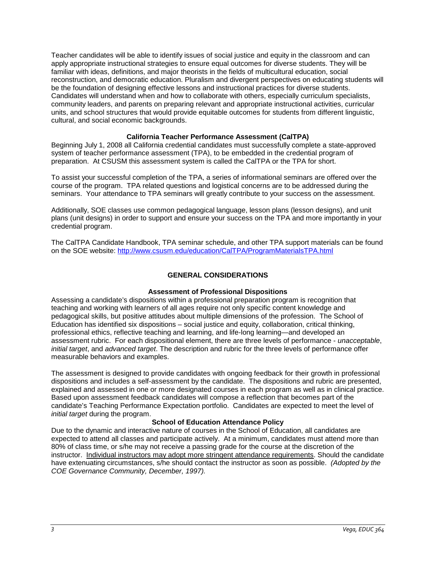Teacher candidates will be able to identify issues of social justice and equity in the classroom and can apply appropriate instructional strategies to ensure equal outcomes for diverse students. They will be familiar with ideas, definitions, and major theorists in the fields of multicultural education, social reconstruction, and democratic education. Pluralism and divergent perspectives on educating students will be the foundation of designing effective lessons and instructional practices for diverse students. Candidates will understand when and how to collaborate with others, especially curriculum specialists, community leaders, and parents on preparing relevant and appropriate instructional activities, curricular units, and school structures that would provide equitable outcomes for students from different linguistic, cultural, and social economic backgrounds.

# **California Teacher Performance Assessment (CalTPA)**

Beginning July 1, 2008 all California credential candidates must successfully complete a state-approved system of teacher performance assessment (TPA), to be embedded in the credential program of preparation. At CSUSM this assessment system is called the CalTPA or the TPA for short.

To assist your successful completion of the TPA, a series of informational seminars are offered over the course of the program. TPA related questions and logistical concerns are to be addressed during the seminars. Your attendance to TPA seminars will greatly contribute to your success on the assessment.

Additionally, SOE classes use common pedagogical language, lesson plans (lesson designs), and unit plans (unit designs) in order to support and ensure your success on the TPA and more importantly in your credential program.

The CalTPA Candidate Handbook, TPA seminar schedule, and other TPA support materials can be found on the SOE website: <http://www.csusm.edu/education/CalTPA/ProgramMaterialsTPA.html>

# **GENERAL CONSIDERATIONS**

### **Assessment of Professional Dispositions**

Assessing a candidate's dispositions within a professional preparation program is recognition that teaching and working with learners of all ages require not only specific content knowledge and pedagogical skills, but positive attitudes about multiple dimensions of the profession. The School of Education has identified six dispositions – social justice and equity, collaboration, critical thinking, professional ethics, reflective teaching and learning, and life-long learning—and developed an assessment rubric. For each dispositional element, there are three levels of performance - *unacceptable*, *initial target*, and *advanced target*. The description and rubric for the three levels of performance offer measurable behaviors and examples.

The assessment is designed to provide candidates with ongoing feedback for their growth in professional dispositions and includes a self-assessment by the candidate. The dispositions and rubric are presented, explained and assessed in one or more designated courses in each program as well as in clinical practice. Based upon assessment feedback candidates will compose a reflection that becomes part of the candidate's Teaching Performance Expectation portfolio. Candidates are expected to meet the level of *initial target* during the program.

# **School of Education Attendance Policy**

Due to the dynamic and interactive nature of courses in the School of Education, all candidates are expected to attend all classes and participate actively. At a minimum, candidates must attend more than 80% of class time, or s/he may not receive a passing grade for the course at the discretion of the instructor. Individual instructors may adopt more stringent attendance requirements. Should the candidate have extenuating circumstances, s/he should contact the instructor as soon as possible. *(Adopted by the COE Governance Community, December, 1997).*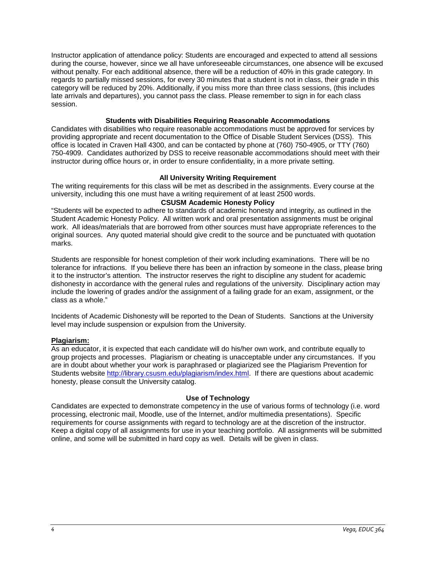Instructor application of attendance policy: Students are encouraged and expected to attend all sessions during the course, however, since we all have unforeseeable circumstances, one absence will be excused without penalty. For each additional absence, there will be a reduction of 40% in this grade category. In regards to partially missed sessions, for every 30 minutes that a student is not in class, their grade in this category will be reduced by 20%. Additionally, if you miss more than three class sessions, (this includes late arrivals and departures), you cannot pass the class. Please remember to sign in for each class session.

### **Students with Disabilities Requiring Reasonable Accommodations**

Candidates with disabilities who require reasonable accommodations must be approved for services by providing appropriate and recent documentation to the Office of Disable Student Services (DSS). This office is located in Craven Hall 4300, and can be contacted by phone at (760) 750-4905, or TTY (760) 750-4909. Candidates authorized by DSS to receive reasonable accommodations should meet with their instructor during office hours or, in order to ensure confidentiality, in a more private setting.

### **All University Writing Requirement**

The writing requirements for this class will be met as described in the assignments. Every course at the university, including this one must have a writing requirement of at least 2500 words.

## **CSUSM Academic Honesty Policy**

"Students will be expected to adhere to standards of academic honesty and integrity, as outlined in the Student Academic Honesty Policy. All written work and oral presentation assignments must be original work. All ideas/materials that are borrowed from other sources must have appropriate references to the original sources. Any quoted material should give credit to the source and be punctuated with quotation marks.

Students are responsible for honest completion of their work including examinations. There will be no tolerance for infractions. If you believe there has been an infraction by someone in the class, please bring it to the instructor's attention. The instructor reserves the right to discipline any student for academic dishonesty in accordance with the general rules and regulations of the university. Disciplinary action may include the lowering of grades and/or the assignment of a failing grade for an exam, assignment, or the class as a whole."

Incidents of Academic Dishonesty will be reported to the Dean of Students. Sanctions at the University level may include suspension or expulsion from the University.

### **Plagiarism:**

As an educator, it is expected that each candidate will do his/her own work, and contribute equally to group projects and processes. Plagiarism or cheating is unacceptable under any circumstances. If you are in doubt about whether your work is paraphrased or plagiarized see the Plagiarism Prevention for Students website [http://library.csusm.edu/plagiarism/index.html.](http://library.csusm.edu/plagiarism/index.html) If there are questions about academic honesty, please consult the University catalog.

### **Use of Technology**

Candidates are expected to demonstrate competency in the use of various forms of technology (i.e. word processing, electronic mail, Moodle, use of the Internet, and/or multimedia presentations). Specific requirements for course assignments with regard to technology are at the discretion of the instructor. Keep a digital copy of all assignments for use in your teaching portfolio. All assignments will be submitted online, and some will be submitted in hard copy as well. Details will be given in class.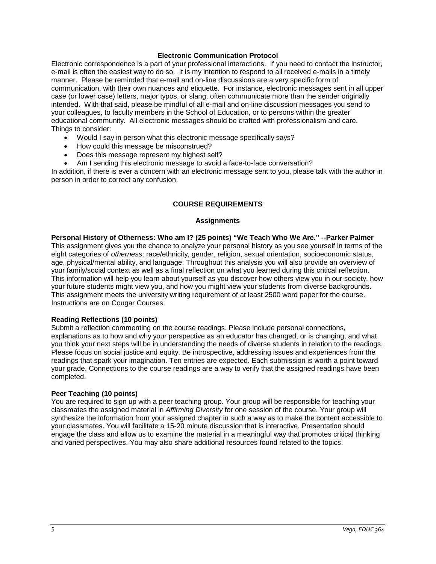### **Electronic Communication Protocol**

Electronic correspondence is a part of your professional interactions. If you need to contact the instructor, e-mail is often the easiest way to do so. It is my intention to respond to all received e-mails in a timely manner. Please be reminded that e-mail and on-line discussions are a very specific form of communication, with their own nuances and etiquette. For instance, electronic messages sent in all upper case (or lower case) letters, major typos, or slang, often communicate more than the sender originally intended. With that said, please be mindful of all e-mail and on-line discussion messages you send to your colleagues, to faculty members in the School of Education, or to persons within the greater educational community. All electronic messages should be crafted with professionalism and care. Things to consider:

- Would I say in person what this electronic message specifically says?
- How could this message be misconstrued?
- Does this message represent my highest self?
- Am I sending this electronic message to avoid a face-to-face conversation?

In addition, if there is ever a concern with an electronic message sent to you, please talk with the author in person in order to correct any confusion.

## **COURSE REQUIREMENTS**

#### **Assignments**

**Personal History of Otherness: Who am I? (25 points) "We Teach Who We Are." --Parker Palmer** This assignment gives you the chance to analyze your personal history as you see yourself in terms of the eight categories of *otherness*: race/ethnicity, gender, religion, sexual orientation, socioeconomic status, age, physical/mental ability, and language. Throughout this analysis you will also provide an overview of your family/social context as well as a final reflection on what you learned during this critical reflection. This information will help you learn about yourself as you discover how others view you in our society, how your future students might view you, and how you might view your students from diverse backgrounds. This assignment meets the university writing requirement of at least 2500 word paper for the course. Instructions are on Cougar Courses.

### **Reading Reflections (10 points)**

Submit a reflection commenting on the course readings. Please include personal connections, explanations as to how and why your perspective as an educator has changed, or is changing, and what you think your next steps will be in understanding the needs of diverse students in relation to the readings. Please focus on social justice and equity. Be introspective, addressing issues and experiences from the readings that spark your imagination. Ten entries are expected. Each submission is worth a point toward your grade. Connections to the course readings are a way to verify that the assigned readings have been completed.

### **Peer Teaching (10 points)**

You are required to sign up with a peer teaching group. Your group will be responsible for teaching your classmates the assigned material in *Affirming Diversity* for one session of the course. Your group will synthesize the information from your assigned chapter in such a way as to make the content accessible to your classmates. You will facilitate a 15-20 minute discussion that is interactive. Presentation should engage the class and allow us to examine the material in a meaningful way that promotes critical thinking and varied perspectives. You may also share additional resources found related to the topics.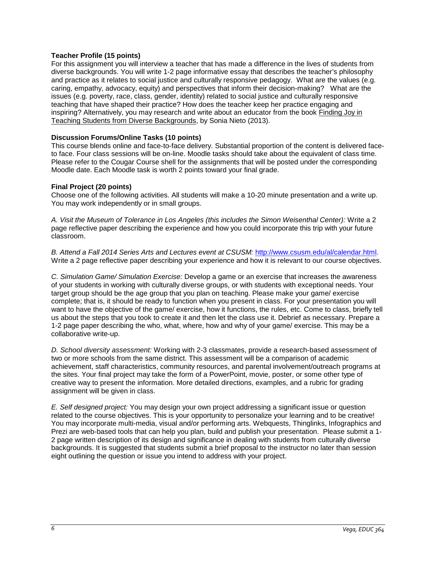### **Teacher Profile (15 points)**

For this assignment you will interview a teacher that has made a difference in the lives of students from diverse backgrounds. You will write 1-2 page informative essay that describes the teacher's philosophy and practice as it relates to social justice and culturally responsive pedagogy. What are the values (e.g. caring, empathy, advocacy, equity) and perspectives that inform their decision-making? What are the issues (e.g. poverty, race, class, gender, identity) related to social justice and culturally responsive teaching that have shaped their practice? How does the teacher keep her practice engaging and inspiring? Alternatively, you may research and write about an educator from the book Finding Joy in Teaching Students from Diverse Backgrounds, by Sonia Nieto (2013).

### **Discussion Forums/Online Tasks (10 points)**

This course blends online and face-to-face delivery. Substantial proportion of the content is delivered faceto face. Four class sessions will be on-line. Moodle tasks should take about the equivalent of class time. Please refer to the Cougar Course shell for the assignments that will be posted under the corresponding Moodle date. Each Moodle task is worth 2 points toward your final grade.

### **Final Project (20 points)**

Choose one of the following activities. All students will make a 10-20 minute presentation and a write up. You may work independently or in small groups.

*A. Visit the Museum of Tolerance in Los Angeles (this includes the Simon Weisenthal Center):* Write a 2 page reflective paper describing the experience and how you could incorporate this trip with your future classroom.

*B. Attend a Fall 2014 Series Arts and Lectures event at CSUSM:* [http://www.csusm.edu/al/calendar.html.](http://www.csusm.edu/al/calendar.html) Write a 2 page reflective paper describing your experience and how it is relevant to our course objectives.

*C. Simulation Game/ Simulation Exercise:* Develop a game or an exercise that increases the awareness of your students in working with culturally diverse groups, or with students with exceptional needs. Your target group should be the age group that you plan on teaching. Please make your game/ exercise complete; that is, it should be ready to function when you present in class. For your presentation you will want to have the objective of the game/ exercise, how it functions, the rules, etc. Come to class, briefly tell us about the steps that you took to create it and then let the class use it. Debrief as necessary. Prepare a 1-2 page paper describing the who, what, where, how and why of your game/ exercise. This may be a collaborative write-up.

*D. School diversity assessment:* Working with 2-3 classmates, provide a research-based assessment of two or more schools from the same district. This assessment will be a comparison of academic achievement, staff characteristics, community resources, and parental involvement/outreach programs at the sites. Your final project may take the form of a PowerPoint, movie, poster, or some other type of creative way to present the information. More detailed directions, examples, and a rubric for grading assignment will be given in class.

*E. Self designed project:* You may design your own project addressing a significant issue or question related to the course objectives. This is your opportunity to personalize your learning and to be creative! You may incorporate multi-media, visual and/or performing arts. Webquests, Thinglinks, Infographics and Prezi are web-based tools that can help you plan, build and publish your presentation. Please submit a 1- 2 page written description of its design and significance in dealing with students from culturally diverse backgrounds. It is suggested that students submit a brief proposal to the instructor no later than session eight outlining the question or issue you intend to address with your project.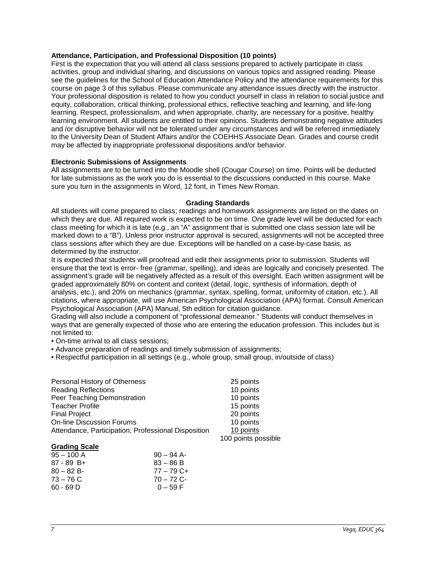### **Attendance, Participation, and Professional Disposition (10 points)**

First is the expectation that you will attend all class sessions prepared to actively participate in class activities, group and individual sharing, and discussions on various topics and assigned reading. Please see the guidelines for the School of Education Attendance Policy and the attendance requirements for this course on page 3 of this syllabus. Please communicate any attendance issues directly with the instructor. Your professional disposition is related to how you conduct yourself in class in relation to social justice and equity, collaboration, critical thinking, professional ethics, reflective teaching and learning, and life-long learning. Respect, professionalism, and when appropriate, charity, are necessary for a positive, healthy learning environment. All students are entitled to their opinions. Students demonstrating negative attitudes and /or disruptive behavior will not be tolerated under any circumstances and will be referred immediately to the University Dean of Student Affairs and/or the COEHHS Associate Dean. Grades and course credit may be affected by inappropriate professional dispositions and/or behavior.

### **Electronic Submissions of Assignments**

All assignments are to be turned into the Moodle shell (Cougar Course) on time. Points will be deducted for late submissions as the work you do is essential to the discussions conducted in this course. Make sure you turn in the assignments in Word, 12 font, in Times New Roman.

### **Grading Standards**

All students will come prepared to class; readings and homework assignments are listed on the dates on which they are due. All required work is expected to be on time. One grade level will be deducted for each class meeting for which it is late (e.g., an "A" assignment that is submitted one class session late will be marked down to a "B"). Unless prior instructor approval is secured, assignments will not be accepted three class sessions after which they are due. Exceptions will be handled on a case-by-case basis, as determined by the instructor.

It is expected that students will proofread and edit their assignments prior to submission. Students will ensure that the text is error- free (grammar, spelling), and ideas are logically and concisely presented. The assignment's grade will be negatively affected as a result of this oversight. Each written assignment will be graded approximately 80% on content and context (detail, logic, synthesis of information, depth of analysis, etc.), and 20% on mechanics (grammar, syntax, spelling, format, uniformity of citation, etc.). All citations, where appropriate, will use American Psychological Association (APA) format. Consult American Psychological Association (APA) Manual, 5th edition for citation guidance.

Grading will also include a component of "professional demeanor." Students will conduct themselves in ways that are generally expected of those who are entering the education profession. This includes but is not limited to:

- On-time arrival to all class sessions;
- Advance preparation of readings and timely submission of assignments;
- Respectful participation in all settings (e.g., whole group, small group, in/outside of class)

| Personal History of Otherness                       | 25 points |
|-----------------------------------------------------|-----------|
| <b>Reading Reflections</b>                          | 10 points |
| Peer Teaching Demonstration                         | 10 points |
| <b>Teacher Profile</b>                              | 15 points |
| <b>Final Project</b>                                | 20 points |
| <b>On-line Discussion Forums</b>                    | 10 points |
| Attendance, Participation, Professional Disposition | 10 points |
|                                                     |           |

| $95 - 100$ A | $90 - 94$ A- |
|--------------|--------------|
| $87 - 89$ B+ | $83 - 86 B$  |
| $80 - 82 B$  | 77 – 79 C+   |
| $73 - 76$ C  | $70 - 72$ C- |
| 60 - 69 D    | $0 - 59 F$   |
|              |              |

100 points possible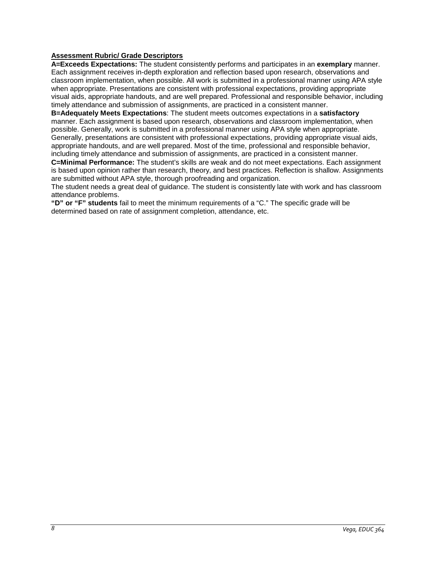### **Assessment Rubric/ Grade Descriptors**

**A=Exceeds Expectations:** The student consistently performs and participates in an **exemplary** manner. Each assignment receives in-depth exploration and reflection based upon research, observations and classroom implementation, when possible. All work is submitted in a professional manner using APA style when appropriate. Presentations are consistent with professional expectations, providing appropriate visual aids, appropriate handouts, and are well prepared. Professional and responsible behavior, including timely attendance and submission of assignments, are practiced in a consistent manner.

**B=Adequately Meets Expectations**: The student meets outcomes expectations in a **satisfactory** manner. Each assignment is based upon research, observations and classroom implementation, when possible. Generally, work is submitted in a professional manner using APA style when appropriate. Generally, presentations are consistent with professional expectations, providing appropriate visual aids, appropriate handouts, and are well prepared. Most of the time, professional and responsible behavior, including timely attendance and submission of assignments, are practiced in a consistent manner.

**C=Minimal Performance:** The student's skills are weak and do not meet expectations. Each assignment is based upon opinion rather than research, theory, and best practices. Reflection is shallow. Assignments are submitted without APA style, thorough proofreading and organization.

The student needs a great deal of guidance. The student is consistently late with work and has classroom attendance problems.

**"D" or "F" students** fail to meet the minimum requirements of a "C." The specific grade will be determined based on rate of assignment completion, attendance, etc.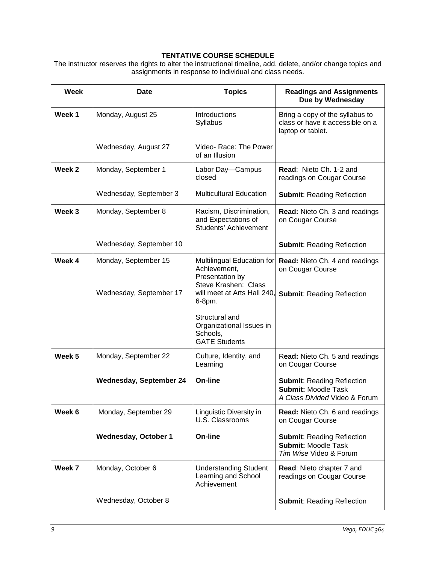# **TENTATIVE COURSE SCHEDULE**

The instructor reserves the rights to alter the instructional timeline, add, delete, and/or change topics and assignments in response to individual and class needs.

| Week              | Date                           | <b>Topics</b>                                                                         | <b>Readings and Assignments</b><br>Due by Wednesday                                              |
|-------------------|--------------------------------|---------------------------------------------------------------------------------------|--------------------------------------------------------------------------------------------------|
| Week 1            | Monday, August 25              | Introductions<br>Syllabus                                                             | Bring a copy of the syllabus to<br>class or have it accessible on a<br>laptop or tablet.         |
|                   | Wednesday, August 27           | Video-Race: The Power<br>of an Illusion                                               |                                                                                                  |
| Week <sub>2</sub> | Monday, September 1            | Labor Day-Campus<br>closed                                                            | <b>Read: Nieto Ch. 1-2 and</b><br>readings on Cougar Course                                      |
|                   | Wednesday, September 3         | <b>Multicultural Education</b>                                                        | <b>Submit: Reading Reflection</b>                                                                |
| Week 3            | Monday, September 8            | Racism, Discrimination,<br>and Expectations of<br>Students' Achievement               | <b>Read: Nieto Ch. 3 and readings</b><br>on Cougar Course                                        |
|                   | Wednesday, September 10        |                                                                                       | <b>Submit: Reading Reflection</b>                                                                |
| Week 4            | Monday, September 15           | Multilingual Education for<br>Achievement,<br>Presentation by<br>Steve Krashen: Class | Read: Nieto Ch. 4 and readings<br>on Cougar Course                                               |
|                   | Wednesday, September 17        | will meet at Arts Hall 240,<br>6-8pm.                                                 | <b>Submit: Reading Reflection</b>                                                                |
|                   |                                | Structural and<br>Organizational Issues in<br>Schools,<br><b>GATE Students</b>        |                                                                                                  |
| Week 5            | Monday, September 22           | Culture, Identity, and<br>Learning                                                    | Read: Nieto Ch. 5 and readings<br>on Cougar Course                                               |
|                   | <b>Wednesday, September 24</b> | On-line                                                                               | <b>Submit: Reading Reflection</b><br><b>Submit: Moodle Task</b><br>A Class Divided Video & Forum |
| Week 6            | Monday, September 29           | Linguistic Diversity in<br>U.S. Classrooms                                            | Read: Nieto Ch. 6 and readings<br>on Cougar Course                                               |
|                   | <b>Wednesday, October 1</b>    | On-line                                                                               | <b>Submit: Reading Reflection</b><br><b>Submit: Moodle Task</b><br>Tim Wise Video & Forum        |
| Week 7            | Monday, October 6              | <b>Understanding Student</b><br>Learning and School<br>Achievement                    | Read: Nieto chapter 7 and<br>readings on Cougar Course                                           |
|                   | Wednesday, October 8           |                                                                                       | <b>Submit: Reading Reflection</b>                                                                |